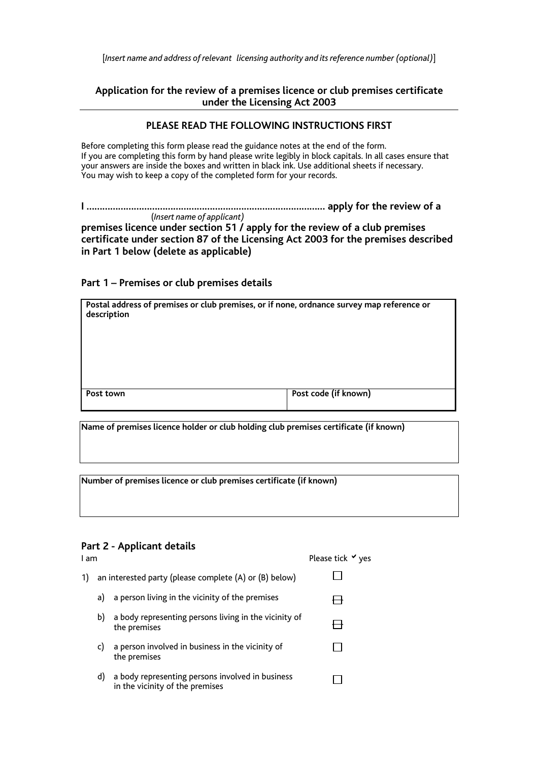[*Insert name and address of relevant licensing authority and its reference number (optional)*]

## **Application for the review of a premises licence or club premises certificate under the Licensing Act 2003**

#### **PLEASE READ THE FOLLOWING INSTRUCTIONS FIRST**

Before completing this form please read the guidance notes at the end of the form. If you are completing this form by hand please write legibly in block capitals. In all cases ensure that your answers are inside the boxes and written in black ink. Use additional sheets if necessary. You may wish to keep a copy of the completed form for your records.

**I …………………………………………………………….………………… apply for the review of a** (*Insert name of applicant)*

**premises licence under section 51 / apply for the review of a club premises certificate under section 87 of the Licensing Act 2003 for the premises described in Part 1 below (delete as applicable)** 

**Part 1 – Premises or club premises details** 

| Postal address of premises or club premises, or if none, ordnance survey map reference or<br>description |                      |  |  |  |  |
|----------------------------------------------------------------------------------------------------------|----------------------|--|--|--|--|
|                                                                                                          |                      |  |  |  |  |
| Post town                                                                                                | Post code (if known) |  |  |  |  |

**Name of premises licence holder or club holding club premises certificate (if known)** 

**Number of premises licence or club premises certificate (if known)** 

## **Part 2 - Applicant details**

| I am |    |                                                                                     | Please tick $\vee$ yes |
|------|----|-------------------------------------------------------------------------------------|------------------------|
| 1)   |    | an interested party (please complete (A) or (B) below)                              |                        |
|      | a) | a person living in the vicinity of the premises                                     |                        |
|      | b) | a body representing persons living in the vicinity of<br>the premises               |                        |
|      | C) | a person involved in business in the vicinity of<br>the premises                    |                        |
|      | d) | a body representing persons involved in business<br>in the vicinity of the premises |                        |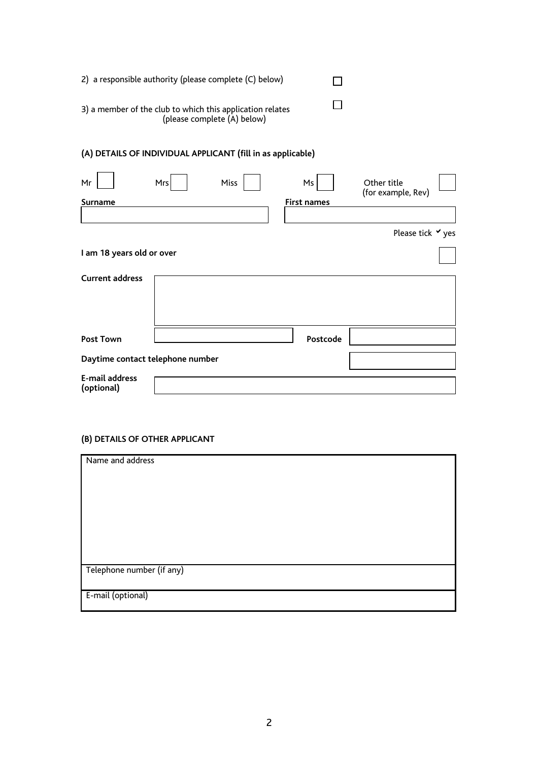| 2) a responsible authority (please complete (C) below)                                   |  |  |
|------------------------------------------------------------------------------------------|--|--|
| 3) a member of the club to which this application relates<br>(please complete (A) below) |  |  |
| (A) DETAILS OF INDIVIDUAL APPLICANT (fill in as applicable)                              |  |  |

| Mr<br>Surname                    | Mrs | Miss | Ms<br><b>First names</b> | Other title<br>(for example, Rev) |  |
|----------------------------------|-----|------|--------------------------|-----------------------------------|--|
|                                  |     |      |                          |                                   |  |
|                                  |     |      |                          | Please tick <b>V</b> yes          |  |
| I am 18 years old or over        |     |      |                          |                                   |  |
| <b>Current address</b>           |     |      |                          |                                   |  |
| <b>Post Town</b>                 |     |      | Postcode                 |                                   |  |
| Daytime contact telephone number |     |      |                          |                                   |  |
| E-mail address<br>(optional)     |     |      |                          |                                   |  |

# **(B) DETAILS OF OTHER APPLICANT**

| Name and address          |  |
|---------------------------|--|
|                           |  |
|                           |  |
|                           |  |
|                           |  |
|                           |  |
| Telephone number (if any) |  |
| E-mail (optional)         |  |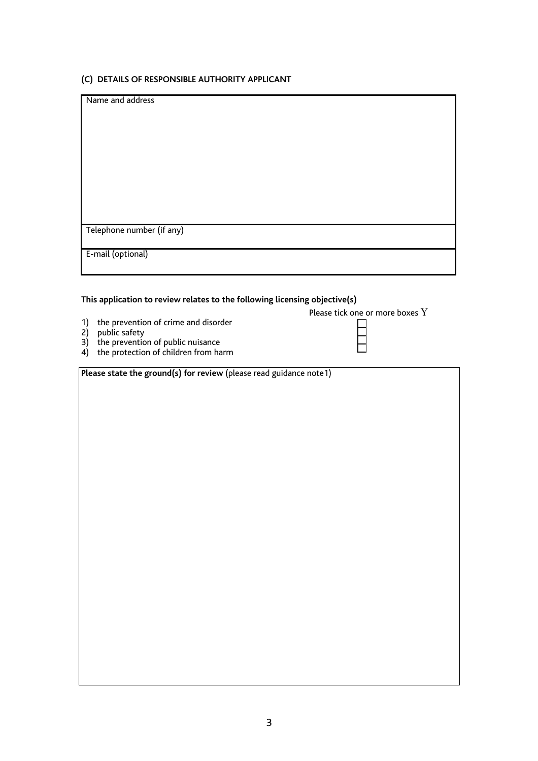#### **(C) DETAILS OF RESPONSIBLE AUTHORITY APPLICANT**

| Name and address          |
|---------------------------|
|                           |
|                           |
|                           |
|                           |
|                           |
|                           |
|                           |
|                           |
|                           |
|                           |
|                           |
|                           |
|                           |
|                           |
|                           |
|                           |
| Telephone number (if any) |
|                           |
|                           |
| E-mail (optional)         |
|                           |
|                           |
|                           |

## **This application to review relates to the following licensing objective(s)**

|                                         | Please tick one or more boxes Y |
|-----------------------------------------|---------------------------------|
| 1) the prevention of crime and disorder |                                 |
| 2) public safety                        |                                 |

- 3) the prevention of public nuisance
- 4) the protection of children from harm

| Please state the ground(s) for review (please read guidance note1) |  |
|--------------------------------------------------------------------|--|
|--------------------------------------------------------------------|--|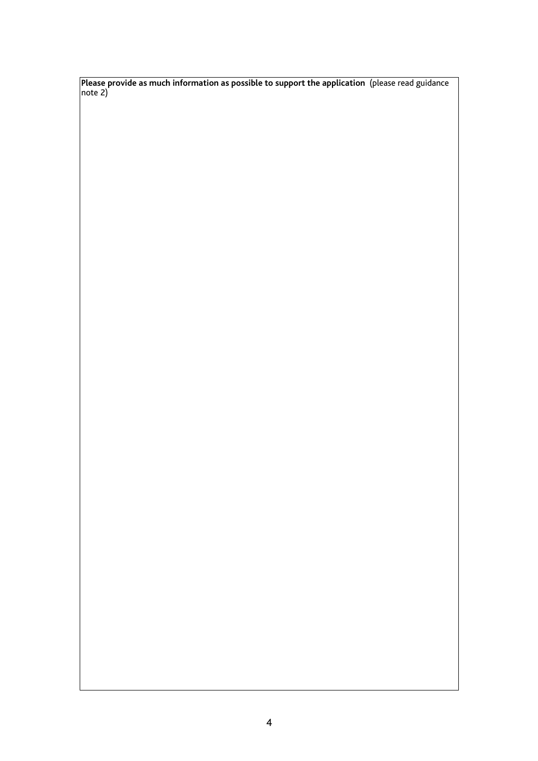**Please provide as much information as possible to support the application** (please read guidance note 2)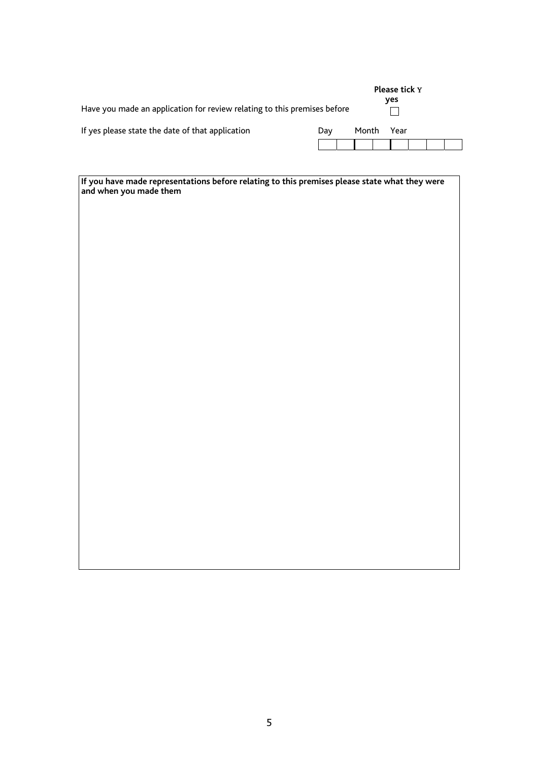| Have you made an application for review relating to this premises before |     |       | Please tick Y<br>yes |  |  |
|--------------------------------------------------------------------------|-----|-------|----------------------|--|--|
| If yes please state the date of that application                         | Dav | Month | Year                 |  |  |
|                                                                          |     |       |                      |  |  |

| If you have made representations before relating to this premises please state what they were and when you made them |  |  |  |
|----------------------------------------------------------------------------------------------------------------------|--|--|--|
|                                                                                                                      |  |  |  |
|                                                                                                                      |  |  |  |
|                                                                                                                      |  |  |  |
|                                                                                                                      |  |  |  |
|                                                                                                                      |  |  |  |
|                                                                                                                      |  |  |  |
|                                                                                                                      |  |  |  |
|                                                                                                                      |  |  |  |
|                                                                                                                      |  |  |  |
|                                                                                                                      |  |  |  |
|                                                                                                                      |  |  |  |
|                                                                                                                      |  |  |  |
|                                                                                                                      |  |  |  |
|                                                                                                                      |  |  |  |
|                                                                                                                      |  |  |  |
|                                                                                                                      |  |  |  |
|                                                                                                                      |  |  |  |
|                                                                                                                      |  |  |  |
|                                                                                                                      |  |  |  |